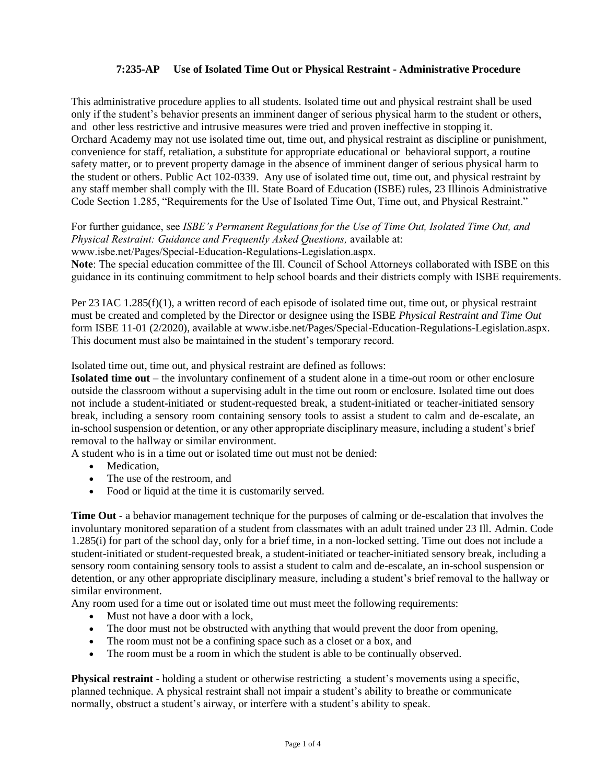## **7:235-AP Use of Isolated Time Out or Physical Restraint - Administrative Procedure**

This administrative procedure applies to all students. Isolated time out and physical restraint shall be used only if the student's behavior presents an imminent danger of serious physical harm to the student or others, and other less restrictive and intrusive measures were tried and proven ineffective in stopping it. Orchard Academy may not use isolated time out, time out, and physical restraint as discipline or punishment, convenience for staff, retaliation, a substitute for appropriate educational or behavioral support, a routine safety matter, or to prevent property damage in the absence of imminent danger of serious physical harm to the student or others. Public Act 102-0339. Any use of isolated time out, time out, and physical restraint by any staff member shall comply with the Ill. State Board of Education (ISBE) rules, 23 Illinois Administrative Code Section 1.285, "Requirements for the Use of Isolated Time Out, Time out, and Physical Restraint."

For further guidance, see *ISBE's Permanent Regulations for the Use of Time Out, Isolated Time Out, and Physical Restraint: Guidance and Frequently Asked Questions,* available at: www.isbe.net/Pages/Special-Education-Regulations-Legislation.aspx.

**Note**: The special education committee of the Ill. Council of School Attorneys collaborated with ISBE on this guidance in its continuing commitment to help school boards and their districts comply with ISBE requirements.

Per 23 IAC 1.285(f)(1), a written record of each episode of isolated time out, time out, or physical restraint must be created and completed by the Director or designee using the ISBE *Physical Restraint and Time Out*  form ISBE 11-01 (2/2020), available at [www.isbe.net/Pages/Special-Education-Regulations-Legislation.aspx.](https://www.isbe.net/Pages/Special-Education-Regulations-Legislation.aspx) This document must also be maintained in the student's temporary record.

Isolated time out, time out, and physical restraint are defined as follows:

**Isolated time out** – the involuntary confinement of a student alone in a time-out room or other enclosure outside the classroom without a supervising adult in the time out room or enclosure. Isolated time out does not include a student-initiated or student-requested break, a student-initiated or teacher-initiated sensory break, including a sensory room containing sensory tools to assist a student to calm and de-escalate, an in-school suspension or detention, or any other appropriate disciplinary measure, including a student's brief removal to the hallway or similar environment.

A student who is in a time out or isolated time out must not be denied:

- Medication
- The use of the restroom, and
- Food or liquid at the time it is customarily served.

**Time Out** - a behavior management technique for the purposes of calming or de-escalation that involves the involuntary monitored separation of a student from classmates with an adult trained under 23 Ill. Admin. Code 1.285(i) for part of the school day, only for a brief time, in a non-locked setting. Time out does not include a student-initiated or student-requested break, a student-initiated or teacher-initiated sensory break, including a sensory room containing sensory tools to assist a student to calm and de-escalate, an in-school suspension or detention, or any other appropriate disciplinary measure, including a student's brief removal to the hallway or similar environment.

Any room used for a time out or isolated time out must meet the following requirements:

- Must not have a door with a lock,
- The door must not be obstructed with anything that would prevent the door from opening,
- The room must not be a confining space such as a closet or a box, and
- The room must be a room in which the student is able to be continually observed.

**Physical restraint** - holding a student or otherwise restricting a student's movements using a specific, planned technique. A physical restraint shall not impair a student's ability to breathe or communicate normally, obstruct a student's airway, or interfere with a student's ability to speak.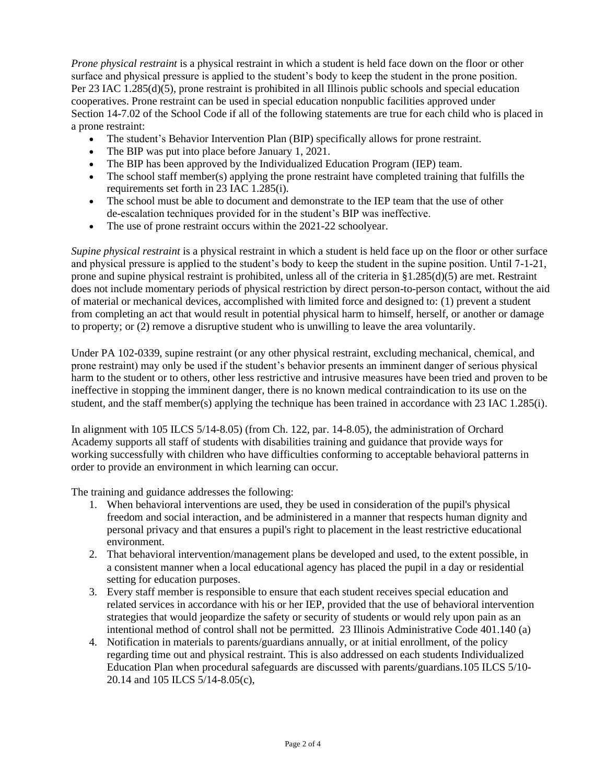*Prone physical restraint* is a physical restraint in which a student is held face down on the floor or other surface and physical pressure is applied to the student's body to keep the student in the prone position. Per 23 IAC 1.285(d)(5), prone restraint is prohibited in all Illinois public schools and special education cooperatives. Prone restraint can be used in special education nonpublic facilities approved under Section 14-7.02 of the School Code if all of the following statements are true for each child who is placed in a prone restraint:

- The student's Behavior Intervention Plan (BIP) specifically allows for prone restraint.
- The BIP was put into place before January 1, 2021.
- The BIP has been approved by the Individualized Education Program (IEP) team.
- The school staff member(s) applying the prone restraint have completed training that fulfills the requirements set forth in 23 IAC 1.285(i).
- The school must be able to document and demonstrate to the IEP team that the use of other de-escalation techniques provided for in the student's BIP was ineffective.
- The use of prone restraint occurs within the 2021-22 schoolyear.

*Supine physical restraint* is a physical restraint in which a student is held face up on the floor or other surface and physical pressure is applied to the student's body to keep the student in the supine position. Until 7-1-21, prone and supine physical restraint is prohibited, unless all of the criteria in  $\S1.285(d)(5)$  are met. Restraint does not include momentary periods of physical restriction by direct person-to-person contact, without the aid of material or mechanical devices, accomplished with limited force and designed to: (1) prevent a student from completing an act that would result in potential physical harm to himself, herself, or another or damage to property; or (2) remove a disruptive student who is unwilling to leave the area voluntarily.

Under PA 102-0339, supine restraint (or any other physical restraint, excluding mechanical, chemical, and prone restraint) may only be used if the student's behavior presents an imminent danger of serious physical harm to the student or to others, other less restrictive and intrusive measures have been tried and proven to be ineffective in stopping the imminent danger, there is no known medical contraindication to its use on the student, and the staff member(s) applying the technique has been trained in accordance with 23 IAC 1.285(i).

In alignment with 105 ILCS 5/14-8.05) (from Ch. 122, par. 14-8.05), the administration of Orchard Academy supports all staff of students with disabilities training and guidance that provide ways for working successfully with children who have difficulties conforming to acceptable behavioral patterns in order to provide an environment in which learning can occur.

The training and guidance addresses the following:

- 1. When behavioral interventions are used, they be used in consideration of the pupil's physical freedom and social interaction, and be administered in a manner that respects human dignity and personal privacy and that ensures a pupil's right to placement in the least restrictive educational environment.
- 2. That behavioral intervention/management plans be developed and used, to the extent possible, in a consistent manner when a local educational agency has placed the pupil in a day or residential setting for education purposes.
- 3. Every staff member is responsible to ensure that each student receives special education and related services in accordance with his or her IEP, provided that the use of behavioral intervention strategies that would jeopardize the safety or security of students or would rely upon pain as an intentional method of control shall not be permitted. 23 Illinois Administrative Code 401.140 (a)
- 4. Notification in materials to parents/guardians annually, or at initial enrollment, of the policy regarding time out and physical restraint. This is also addressed on each students Individualized Education Plan when procedural safeguards are discussed with parents/guardians.105 ILCS 5/10- 20.14 and 105 ILCS 5/14-8.05(c),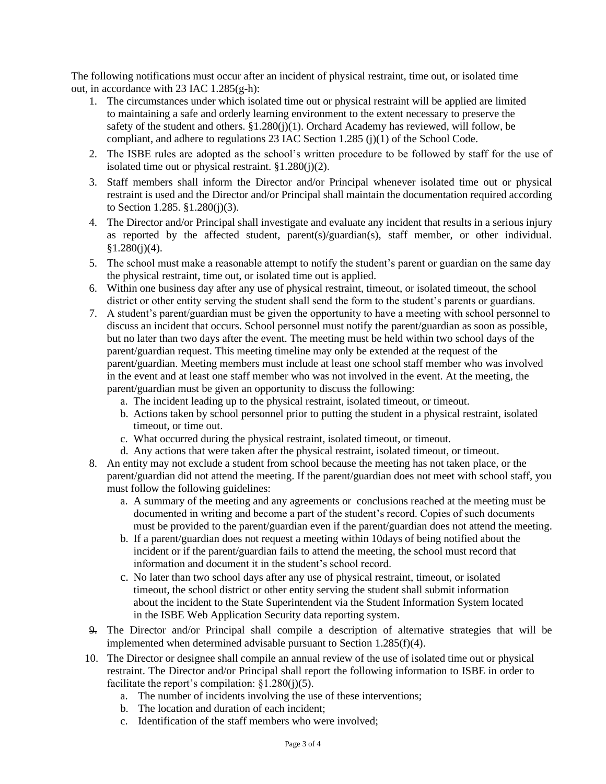The following notifications must occur after an incident of physical restraint, time out, or isolated time out, in accordance with 23 IAC  $1.285(g-h)$ :

- 1. The circumstances under which isolated time out or physical restraint will be applied are limited to maintaining a safe and orderly learning environment to the extent necessary to preserve the safety of the student and others. §1.280(j)(1). Orchard Academy has reviewed, will follow, be compliant, and adhere to regulations 23 IAC Section 1.285 (j)(1) of the School Code.
- 2. The ISBE rules are adopted as the school's written procedure to be followed by staff for the use of isolated time out or physical restraint.  $§1.280(i)(2)$ .
- 3. Staff members shall inform the Director and/or Principal whenever isolated time out or physical restraint is used and the Director and/or Principal shall maintain the documentation required according to Section 1.285. §1.280(j)(3).
- 4. The Director and/or Principal shall investigate and evaluate any incident that results in a serious injury as reported by the affected student, parent(s)/guardian(s), staff member, or other individual.  $$1.280(i)(4).$
- 5. The school must make a reasonable attempt to notify the student's parent or guardian on the same day the physical restraint, time out, or isolated time out is applied.
- 6. Within one business day after any use of physical restraint, timeout, or isolated timeout, the school district or other entity serving the student shall send the form to the student's parents or guardians.
- 7. A student's parent/guardian must be given the opportunity to have a meeting with school personnel to discuss an incident that occurs. School personnel must notify the parent/guardian as soon as possible, but no later than two days after the event. The meeting must be held within two school days of the parent/guardian request. This meeting timeline may only be extended at the request of the parent/guardian. Meeting members must include at least one school staff member who was involved in the event and at least one staff member who was not involved in the event. At the meeting, the parent/guardian must be given an opportunity to discuss the following:
	- a. The incident leading up to the physical restraint, isolated timeout, or timeout.
	- b. Actions taken by school personnel prior to putting the student in a physical restraint, isolated timeout, or time out.
	- c. What occurred during the physical restraint, isolated timeout, or timeout.
	- d. Any actions that were taken after the physical restraint, isolated timeout, or timeout.
- 8. An entity may not exclude a student from school because the meeting has not taken place, or the parent/guardian did not attend the meeting. If the parent/guardian does not meet with school staff, you must follow the following guidelines:
	- a. A summary of the meeting and any agreements or conclusions reached at the meeting must be documented in writing and become a part of the student's record. Copies of such documents must be provided to the parent/guardian even if the parent/guardian does not attend the meeting.
	- b. If a parent/guardian does not request a meeting within 10days of being notified about the incident or if the parent/guardian fails to attend the meeting, the school must record that information and document it in the student's school record.
	- c. No later than two school days after any use of physical restraint, timeout, or isolated timeout, the school district or other entity serving the student shall submit information about the incident to the State Superintendent via the Student Information System located in the ISBE Web Application Security data reporting system.
- 9. The Director and/or Principal shall compile a description of alternative strategies that will be implemented when determined advisable pursuant to Section 1.285(f)(4).
- 10. The Director or designee shall compile an annual review of the use of isolated time out or physical restraint. The Director and/or Principal shall report the following information to ISBE in order to facilitate the report's compilation:  $\S1.280(i)(5)$ .
	- a. The number of incidents involving the use of these interventions;
	- b. The location and duration of each incident;
	- c. Identification of the staff members who were involved;